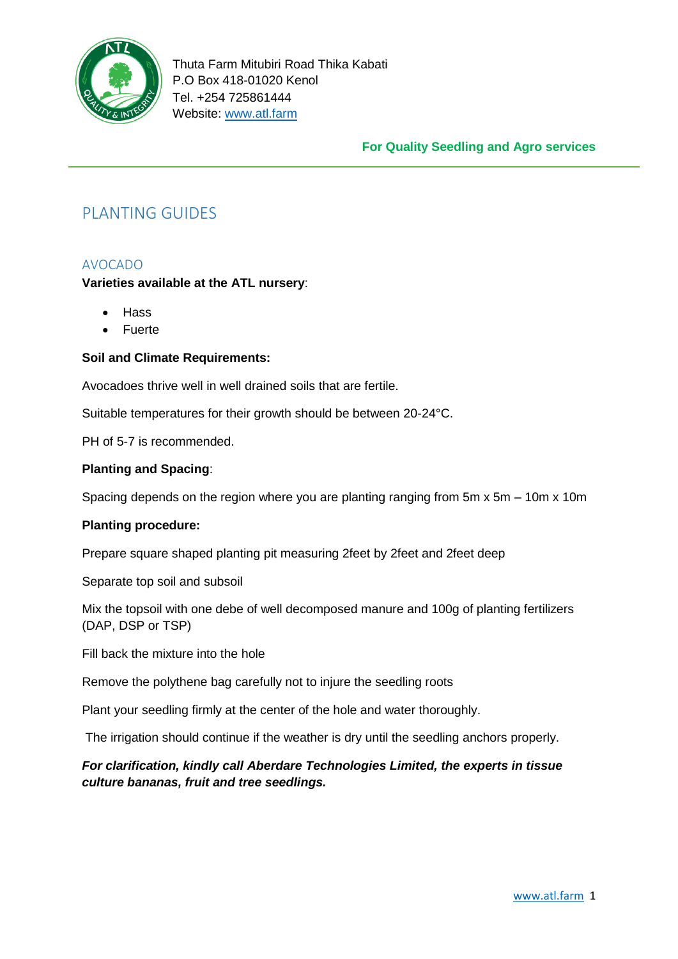

## **For Quality Seedling and Agro services**

# PLANTING GUIDES

## AVOCADO

## **Varieties available at the ATL nursery**:

- Hass
- Fuerte

## **Soil and Climate Requirements:**

Avocadoes thrive well in well drained soils that are fertile.

Suitable temperatures for their growth should be between 20-24°C.

PH of 5-7 is recommended.

## **Planting and Spacing**:

Spacing depends on the region where you are planting ranging from 5m x 5m – 10m x 10m

## **Planting procedure:**

Prepare square shaped planting pit measuring 2feet by 2feet and 2feet deep

Separate top soil and subsoil

Mix the topsoil with one debe of well decomposed manure and 100g of planting fertilizers (DAP, DSP or TSP)

Fill back the mixture into the hole

Remove the polythene bag carefully not to injure the seedling roots

Plant your seedling firmly at the center of the hole and water thoroughly.

The irrigation should continue if the weather is dry until the seedling anchors properly.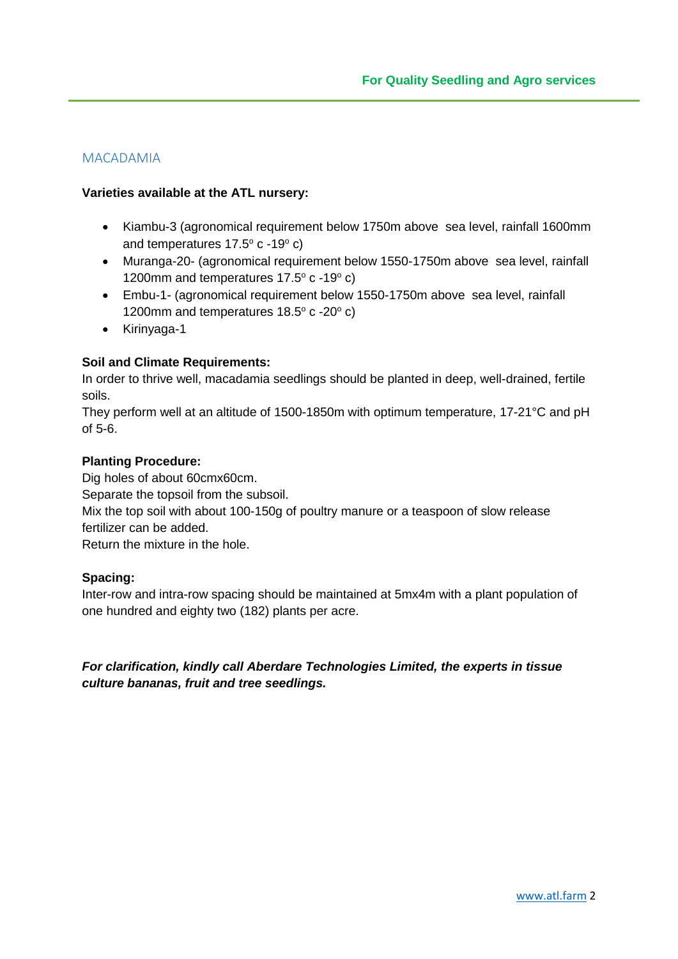## MACADAMIA

## **Varieties available at the ATL nursery:**

- Kiambu-3 (agronomical requirement below 1750m above sea level, rainfall 1600mm and temperatures  $17.5^\circ$  c -19 $^\circ$  c)
- Muranga-20- (agronomical requirement below 1550-1750m above sea level, rainfall 1200mm and temperatures  $17.5^\circ$  c -19 $^\circ$  c)
- Embu-1- (agronomical requirement below 1550-1750m above sea level, rainfall 1200mm and temperatures  $18.5^\circ$  c -20 $^\circ$  c)
- Kirinyaga-1

## **Soil and Climate Requirements:**

In order to thrive well, macadamia seedlings should be planted in deep, well-drained, fertile soils.

They perform well at an altitude of 1500-1850m with optimum temperature, 17-21°C and pH of 5-6.

#### **Planting Procedure:**

Dig holes of about 60cmx60cm. Separate the topsoil from the subsoil. Mix the top soil with about 100-150g of poultry manure or a teaspoon of slow release fertilizer can be added. Return the mixture in the hole.

## **Spacing:**

Inter-row and intra-row spacing should be maintained at 5mx4m with a plant population of one hundred and eighty two (182) plants per acre.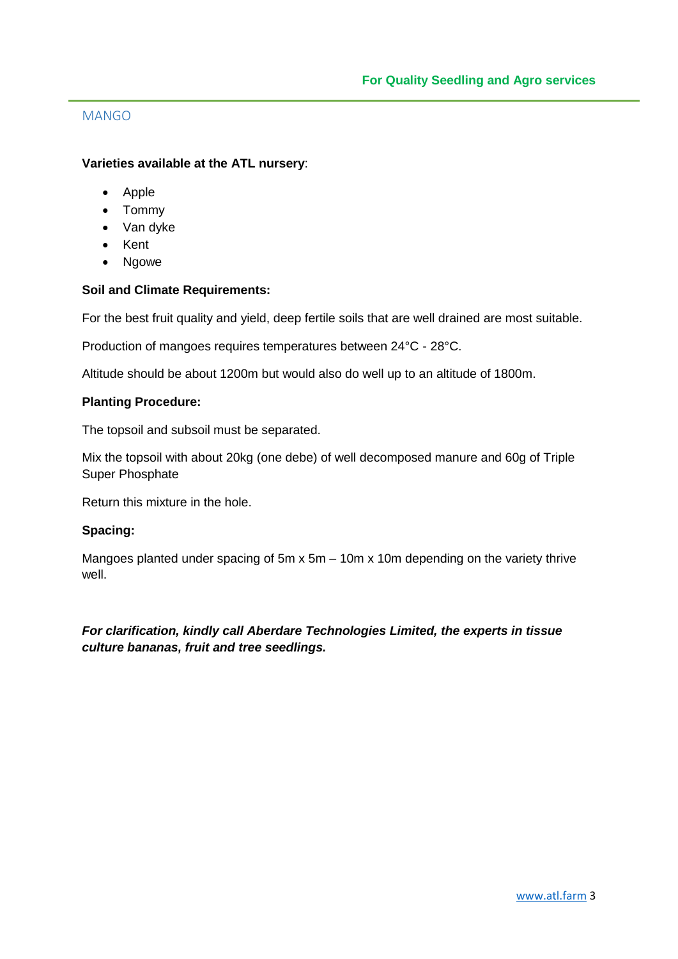## MANGO

## **Varieties available at the ATL nursery**:

- Apple
- Tommy
- Van dyke
- Kent
- Ngowe

## **Soil and Climate Requirements:**

For the best fruit quality and yield, deep fertile soils that are well drained are most suitable.

Production of mangoes requires temperatures between 24°C - 28°C.

Altitude should be about 1200m but would also do well up to an altitude of 1800m.

## **Planting Procedure:**

The topsoil and subsoil must be separated.

Mix the topsoil with about 20kg (one debe) of well decomposed manure and 60g of Triple Super Phosphate

Return this mixture in the hole.

## **Spacing:**

Mangoes planted under spacing of 5m x 5m – 10m x 10m depending on the variety thrive well.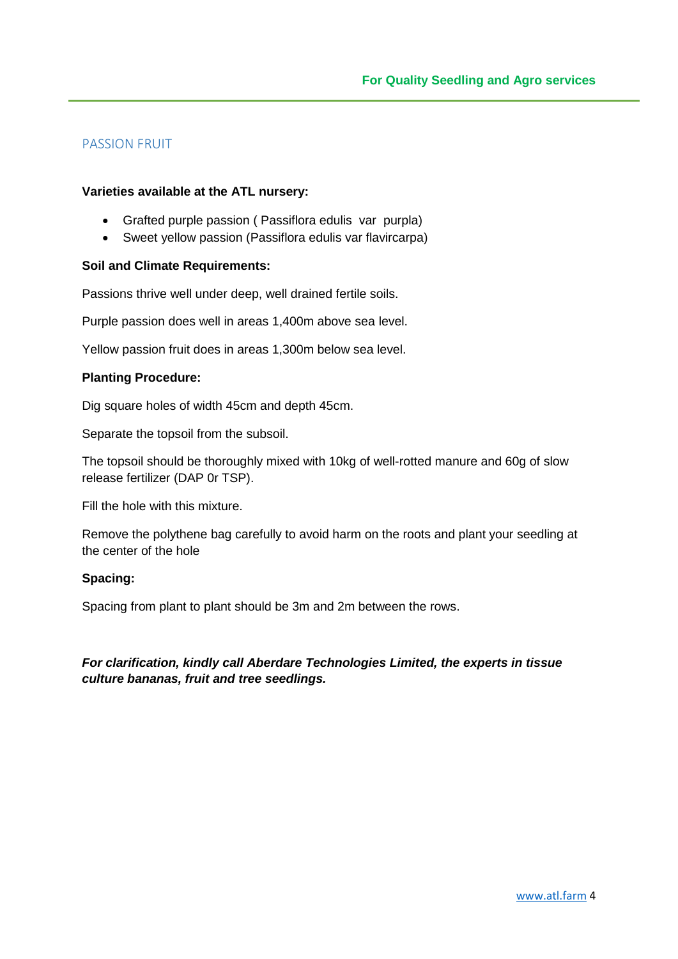# PASSION FRUIT

#### **Varieties available at the ATL nursery:**

- Grafted purple passion ( Passiflora edulis var purpla)
- Sweet yellow passion (Passiflora edulis var flavircarpa)

#### **Soil and Climate Requirements:**

Passions thrive well under deep, well drained fertile soils.

Purple passion does well in areas 1,400m above sea level.

Yellow passion fruit does in areas 1,300m below sea level.

#### **Planting Procedure:**

Dig square holes of width 45cm and depth 45cm.

Separate the topsoil from the subsoil.

The topsoil should be thoroughly mixed with 10kg of well-rotted manure and 60g of slow release fertilizer (DAP 0r TSP).

Fill the hole with this mixture.

Remove the polythene bag carefully to avoid harm on the roots and plant your seedling at the center of the hole

#### **Spacing:**

Spacing from plant to plant should be 3m and 2m between the rows.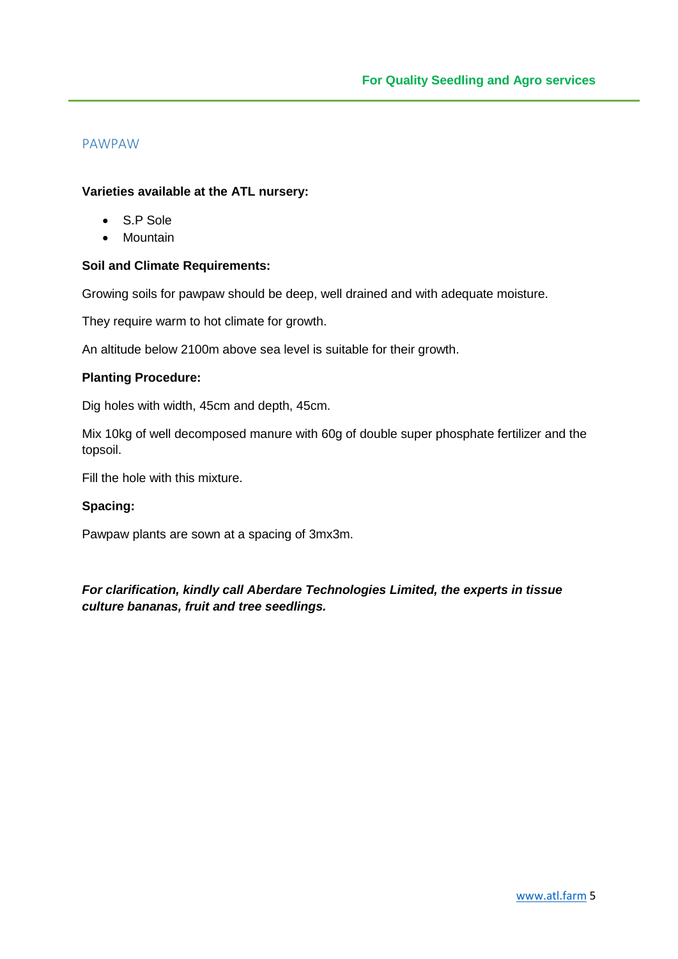# PAWPAW

#### **Varieties available at the ATL nursery:**

- S.P Sole
- Mountain

## **Soil and Climate Requirements:**

Growing soils for pawpaw should be deep, well drained and with adequate moisture.

They require warm to hot climate for growth.

An altitude below 2100m above sea level is suitable for their growth.

#### **Planting Procedure:**

Dig holes with width, 45cm and depth, 45cm.

Mix 10kg of well decomposed manure with 60g of double super phosphate fertilizer and the topsoil.

Fill the hole with this mixture.

# **Spacing:**

Pawpaw plants are sown at a spacing of 3mx3m.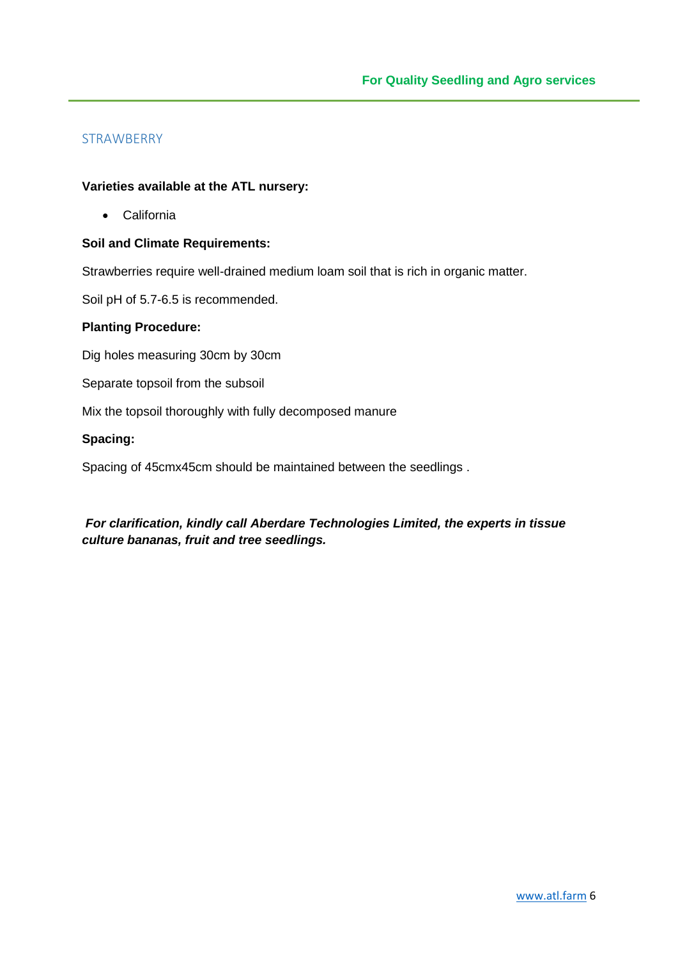## **STRAWBERRY**

#### **Varieties available at the ATL nursery:**

California

#### **Soil and Climate Requirements:**

Strawberries require well-drained medium loam soil that is rich in organic matter.

Soil pH of 5.7-6.5 is recommended.

#### **Planting Procedure:**

Dig holes measuring 30cm by 30cm

Separate topsoil from the subsoil

Mix the topsoil thoroughly with fully decomposed manure

#### **Spacing:**

Spacing of 45cmx45cm should be maintained between the seedlings .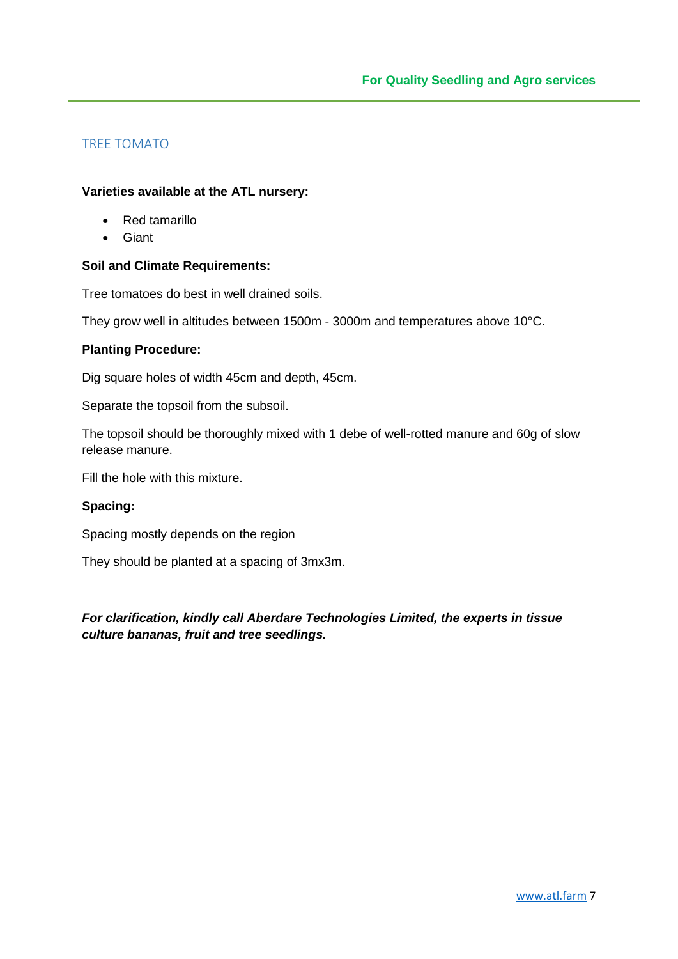# TREE TOMATO

#### **Varieties available at the ATL nursery:**

- Red tamarillo
- Giant

## **Soil and Climate Requirements:**

Tree tomatoes do best in well drained soils.

They grow well in altitudes between 1500m - 3000m and temperatures above 10°C.

#### **Planting Procedure:**

Dig square holes of width 45cm and depth, 45cm.

Separate the topsoil from the subsoil.

The topsoil should be thoroughly mixed with 1 debe of well-rotted manure and 60g of slow release manure.

Fill the hole with this mixture.

## **Spacing:**

Spacing mostly depends on the region

They should be planted at a spacing of 3mx3m.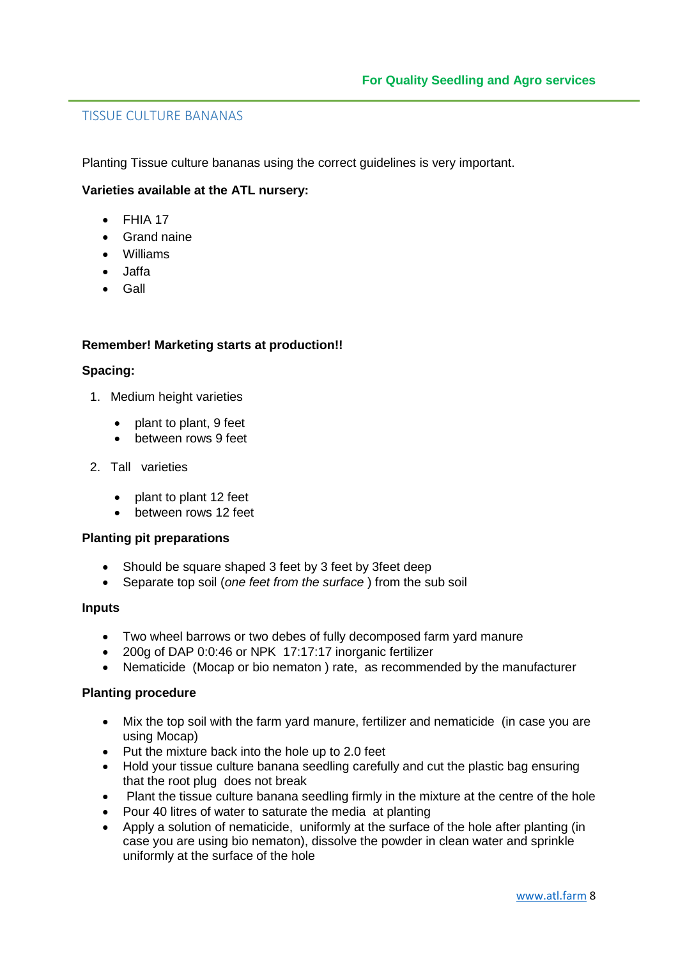## TISSUE CULTURE BANANAS

Planting Tissue culture bananas using the correct guidelines is very important.

#### **Varieties available at the ATL nursery:**

- $\bullet$  FHIA 17
- Grand naine
- Williams
- Jaffa
- Gall

#### **Remember! Marketing starts at production!!**

#### **Spacing:**

- 1. Medium height varieties
	- plant to plant, 9 feet
	- between rows 9 feet
- 2. Tall varieties
	- plant to plant 12 feet
	- **•** between rows 12 feet

#### **Planting pit preparations**

- Should be square shaped 3 feet by 3 feet by 3 feet deep
- Separate top soil (*one feet from the surface* ) from the sub soil

#### **Inputs**

- Two wheel barrows or two debes of fully decomposed farm yard manure
- 200g of DAP 0:0:46 or NPK 17:17:17 inorganic fertilizer
- Nematicide (Mocap or bio nematon) rate, as recommended by the manufacturer

#### **Planting procedure**

- Mix the top soil with the farm yard manure, fertilizer and nematicide (in case you are using Mocap)
- Put the mixture back into the hole up to 2.0 feet
- Hold your tissue culture banana seedling carefully and cut the plastic bag ensuring that the root plug does not break
- Plant the tissue culture banana seedling firmly in the mixture at the centre of the hole
- Pour 40 litres of water to saturate the media at planting
- Apply a solution of nematicide, uniformly at the surface of the hole after planting (in case you are using bio nematon), dissolve the powder in clean water and sprinkle uniformly at the surface of the hole